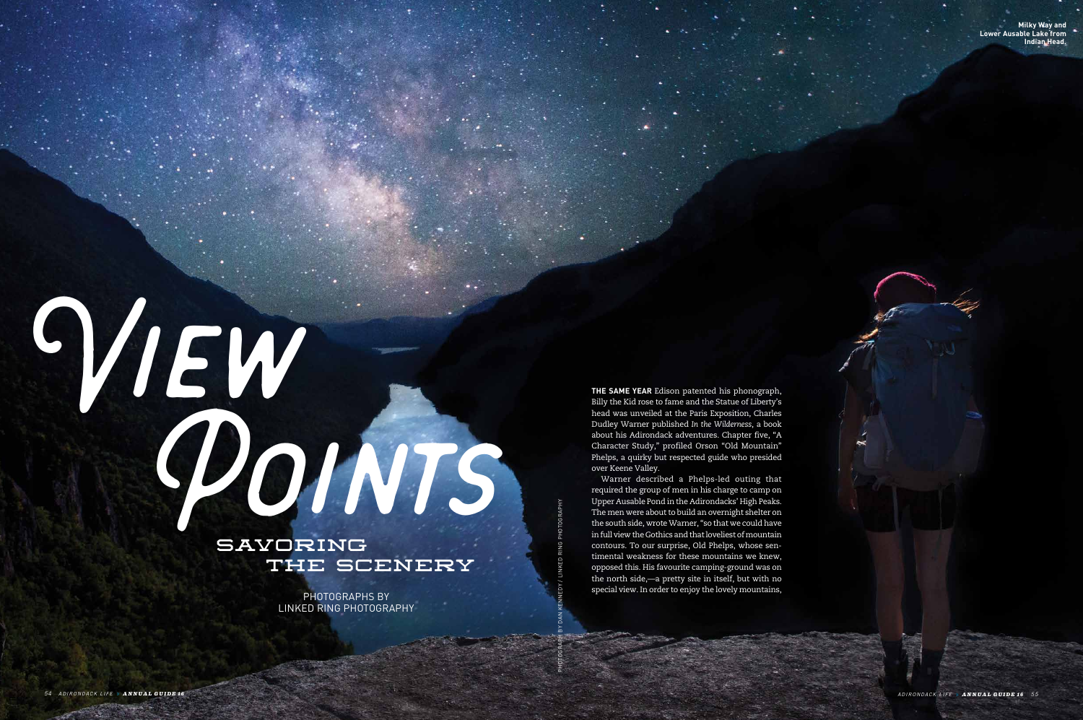## View **SAVORING** THE SCENERY Points

PHOTOGRAPHS BY LINKED RING PHOTOGRAPHY

**THE SAME YEAR** Edison patented his phonograph, Billy the Kid rose to fame and the Statue of Liberty's head was unveiled at the Paris Exposition, Charles Dudley Warner published *In the Wilderness*, a book about his Adirondack adventures. Chapter five, "A Character Study," profiled Orson "Old Mountain" Phelps, a quirky but respected guide who presided over Keene Valley.

Warner described a Phelps-led outing that required the group of men in his charge to camp on Upper Ausable Pond in the Adirondacks' High Peaks. The men were about to build an overnight shelter on the south side, wrote Warner, "so that we could have in full view the Gothics and that loveliest of mountain contours. To our surprise, Old Phelps, whose sentimental weakness for these mountains we knew, opposed this. His favourite camping-ground was on the north side,—a pretty site in itself, but with no special view. In order to enjoy the lovely mountains,

**Milky Way and Lower Ausable Lake from Indian Head.**

PHOTOGRAPH BY DAN KENNEDY / LINKED RING PHOTOGRAPHY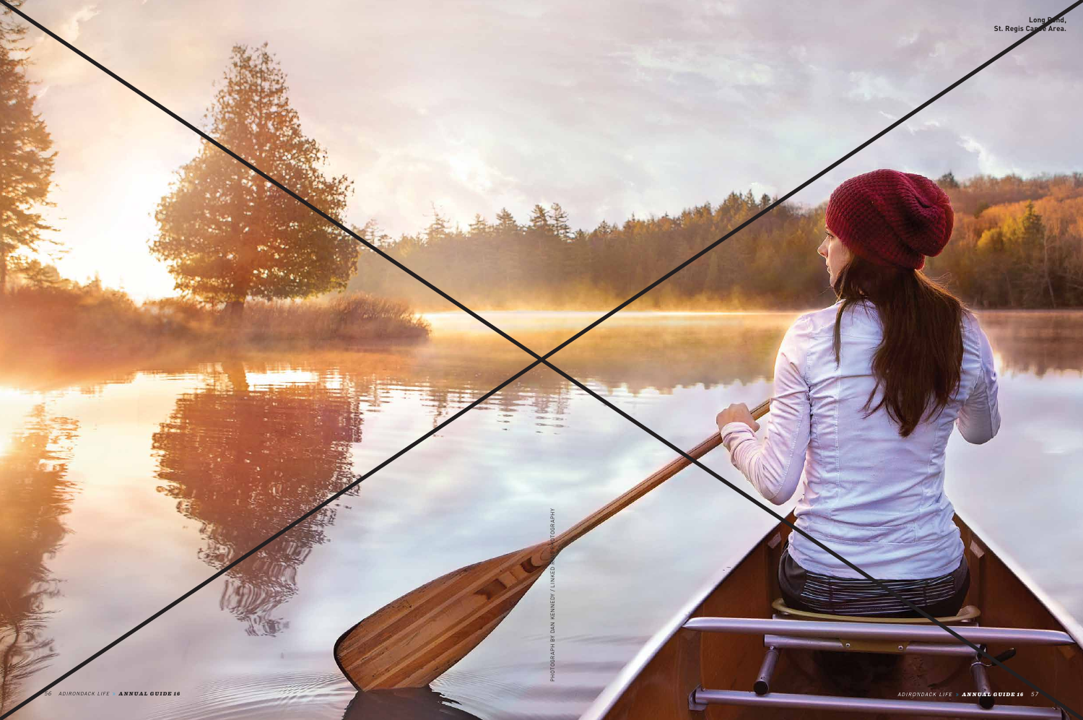